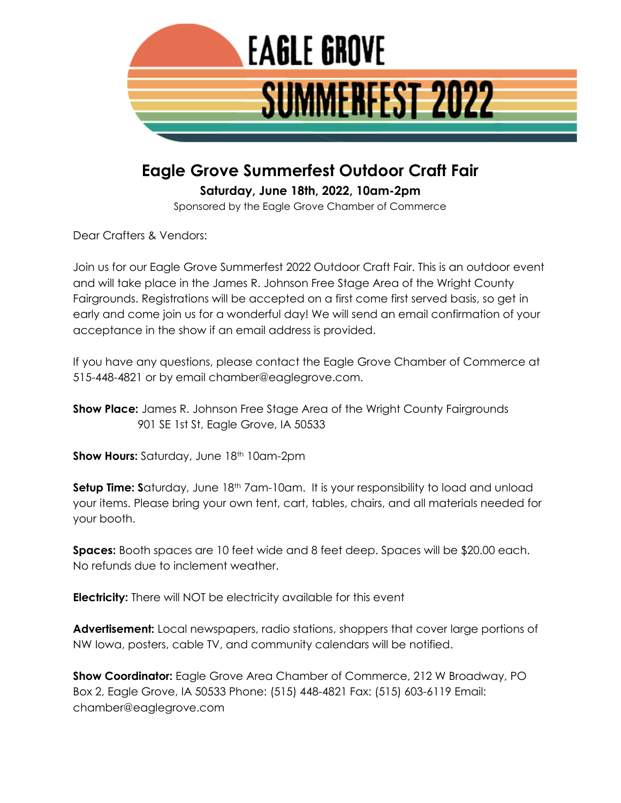

## **Eagle Grove Summerfest Outdoor Craft Fair**

**Saturday, June 18th, 2022, 10am-2pm**

Sponsored by the Eagle Grove Chamber of Commerce

Dear Crafters & Vendors:

Join us for our Eagle Grove Summerfest 2022 Outdoor Craft Fair. This is an outdoor event and will take place in the James R. Johnson Free Stage Area of the Wright County Fairgrounds. Registrations will be accepted on a first come first served basis, so get in early and come join us for a wonderful day! We will send an email confirmation of your acceptance in the show if an email address is provided.

If you have any questions, please contact the Eagle Grove Chamber of Commerce at 515-448-4821 or by email chamber@eaglegrove.com.

**Show Place:** James R. Johnson Free Stage Area of the Wright County Fairgrounds 901 SE 1st St, Eagle Grove, IA 50533

**Show Hours:** Saturday, June 18<sup>th</sup> 10am-2pm

**Setup Time: S**aturday, June 18<sup>th</sup> 7am-10am. It is your responsibility to load and unload your items. Please bring your own tent, cart, tables, chairs, and all materials needed for your booth.

**Spaces:** Booth spaces are 10 feet wide and 8 feet deep. Spaces will be \$20.00 each. No refunds due to inclement weather.

**Electricity:** There will NOT be electricity available for this event

**Advertisement:** Local newspapers, radio stations, shoppers that cover large portions of NW Iowa, posters, cable TV, and community calendars will be notified.

**Show Coordinator:** Eagle Grove Area Chamber of Commerce, 212 W Broadway, PO Box 2, Eagle Grove, IA 50533 Phone: (515) 448-4821 Fax: (515) 603-6119 Email: chamber@eaglegrove.com